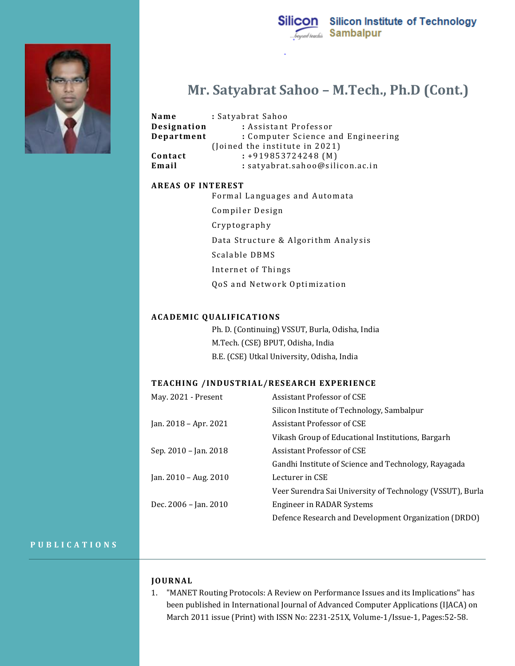

# **Mr. Satyabrat Sahoo – M.Tech., Ph.D (Cont.)**

|  | Name<br>Designation | : Satyabrat Sahoo<br>: Assistant Professor |
|--|---------------------|--------------------------------------------|
|  | Department          | : Computer Science and Engineering         |
|  |                     | (Joined the institute in 2021)             |
|  | Contact             | $: +919853724248$ (M)                      |
|  | Email               | : satyabrat.sahoo@silicon.ac.in            |

## **AREAS OF INTEREST**

Formal Languages and Automata

Compiler Design

Cryptography

Data Structure & Algorithm Analysis

Scalable DBMS

Internet of Things

QoS and Network Optimization

#### **ACADEMIC QUALIFICATIONS**

Ph. D. (Continuing) VSSUT, Burla, Odisha, India M.Tech. (CSE) BPUT, Odisha, India B.E. (CSE) Utkal University, Odisha, India

### **TEACHING /INDUSTRIAL/RESEARCH EXPERIENCE**

| May. 2021 - Present   | Assistant Professor of CSE                                |
|-----------------------|-----------------------------------------------------------|
|                       | Silicon Institute of Technology, Sambalpur                |
| Jan. 2018 - Apr. 2021 | Assistant Professor of CSE                                |
|                       | Vikash Group of Educational Institutions, Bargarh         |
| Sep. 2010 – Jan. 2018 | Assistant Professor of CSE                                |
|                       | Gandhi Institute of Science and Technology, Rayagada      |
| Jan. 2010 – Aug. 2010 | Lecturer in CSE                                           |
|                       | Veer Surendra Sai University of Technology (VSSUT), Burla |
| Dec. 2006 - Jan. 2010 | Engineer in RADAR Systems                                 |
|                       | Defence Research and Development Organization (DRDO)      |

## **P U B L I C A T I O N S**

# **JO URNAL**

1. "MANET Routing Protocols: A Review on Performance Issues and its Implications" has been published in International Journal of Advanced Computer Applications (IJACA) on March 2011 issue (Print) with ISSN No: 2231-251X, Volume-1/Issue-1, Pages:52-58.